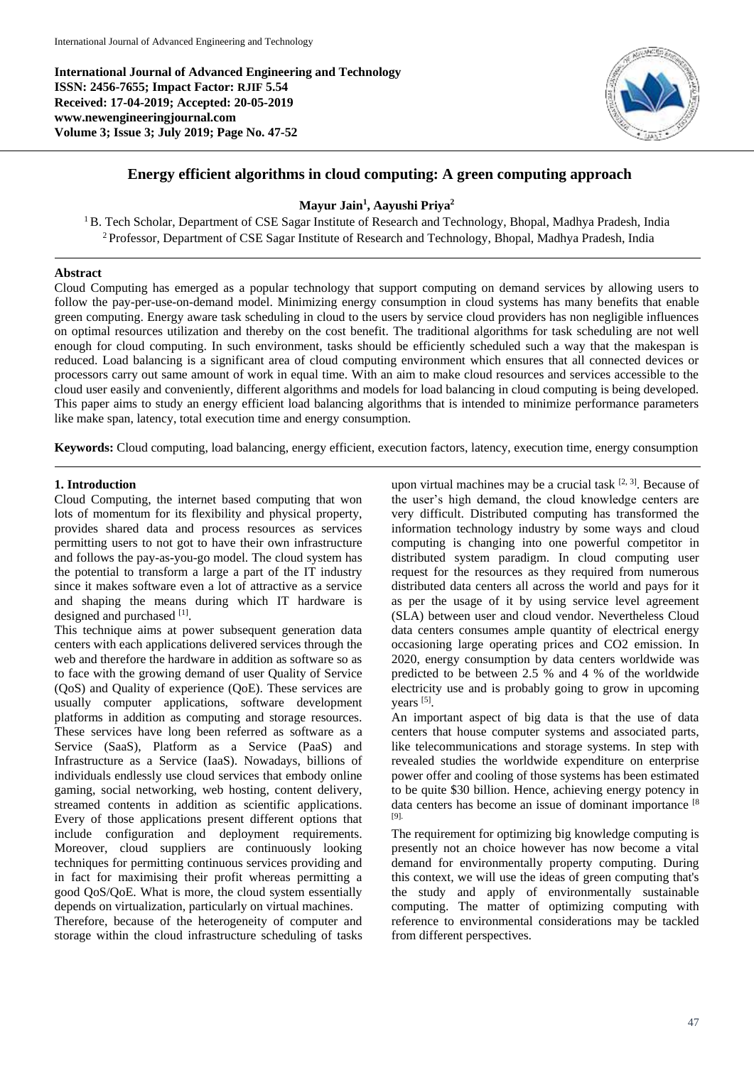**International Journal of Advanced Engineering and Technology ISSN: 2456-7655; Impact Factor: RJIF 5.54 Received: 17-04-2019; Accepted: 20-05-2019 www.newengineeringjournal.com Volume 3; Issue 3; July 2019; Page No. 47-52**



# **Energy efficient algorithms in cloud computing: A green computing approach**

# **Mayur Jain<sup>1</sup> , Aayushi Priya<sup>2</sup>**

<sup>1</sup>B. Tech Scholar, Department of CSE Sagar Institute of Research and Technology, Bhopal, Madhya Pradesh, India <sup>2</sup> Professor, Department of CSE Sagar Institute of Research and Technology, Bhopal, Madhya Pradesh, India

## **Abstract**

Cloud Computing has emerged as a popular technology that support computing on demand services by allowing users to follow the pay-per-use-on-demand model. Minimizing energy consumption in cloud systems has many benefits that enable green computing. Energy aware task scheduling in cloud to the users by service cloud providers has non negligible influences on optimal resources utilization and thereby on the cost benefit. The traditional algorithms for task scheduling are not well enough for cloud computing. In such environment, tasks should be efficiently scheduled such a way that the makespan is reduced. Load balancing is a significant area of cloud computing environment which ensures that all connected devices or processors carry out same amount of work in equal time. With an aim to make cloud resources and services accessible to the cloud user easily and conveniently, different algorithms and models for load balancing in cloud computing is being developed. This paper aims to study an energy efficient load balancing algorithms that is intended to minimize performance parameters like make span, latency, total execution time and energy consumption.

**Keywords:** Cloud computing, load balancing, energy efficient, execution factors, latency, execution time, energy consumption

## **1. Introduction**

Cloud Computing, the internet based computing that won lots of momentum for its flexibility and physical property, provides shared data and process resources as services permitting users to not got to have their own infrastructure and follows the pay-as-you-go model. The cloud system has the potential to transform a large a part of the IT industry since it makes software even a lot of attractive as a service and shaping the means during which IT hardware is designed and purchased [1].

This technique aims at power subsequent generation data centers with each applications delivered services through the web and therefore the hardware in addition as software so as to face with the growing demand of user Quality of Service (QoS) and Quality of experience (QoE). These services are usually computer applications, software development platforms in addition as computing and storage resources. These services have long been referred as software as a Service (SaaS), Platform as a Service (PaaS) and Infrastructure as a Service (IaaS). Nowadays, billions of individuals endlessly use cloud services that embody online gaming, social networking, web hosting, content delivery, streamed contents in addition as scientific applications. Every of those applications present different options that include configuration and deployment requirements. Moreover, cloud suppliers are continuously looking techniques for permitting continuous services providing and in fact for maximising their profit whereas permitting a good QoS/QoE. What is more, the cloud system essentially depends on virtualization, particularly on virtual machines. Therefore, because of the heterogeneity of computer and storage within the cloud infrastructure scheduling of tasks

upon virtual machines may be a crucial task  $[2, 3]$ . Because of the user's high demand, the cloud knowledge centers are very difficult. Distributed computing has transformed the information technology industry by some ways and cloud computing is changing into one powerful competitor in distributed system paradigm. In cloud computing user request for the resources as they required from numerous distributed data centers all across the world and pays for it as per the usage of it by using service level agreement (SLA) between user and cloud vendor. Nevertheless Cloud data centers consumes ample quantity of electrical energy occasioning large operating prices and CO2 emission. In 2020, energy consumption by data centers worldwide was predicted to be between 2.5 % and 4 % of the worldwide electricity use and is probably going to grow in upcoming years [5].

An important aspect of big data is that the use of data centers that house computer systems and associated parts, like telecommunications and storage systems. In step with revealed studies the worldwide expenditure on enterprise power offer and cooling of those systems has been estimated to be quite \$30 billion. Hence, achieving energy potency in data centers has become an issue of dominant importance [8] [9].

The requirement for optimizing big knowledge computing is presently not an choice however has now become a vital demand for environmentally property computing. During this context, we will use the ideas of green computing that's the study and apply of environmentally sustainable computing. The matter of optimizing computing with reference to environmental considerations may be tackled from different perspectives.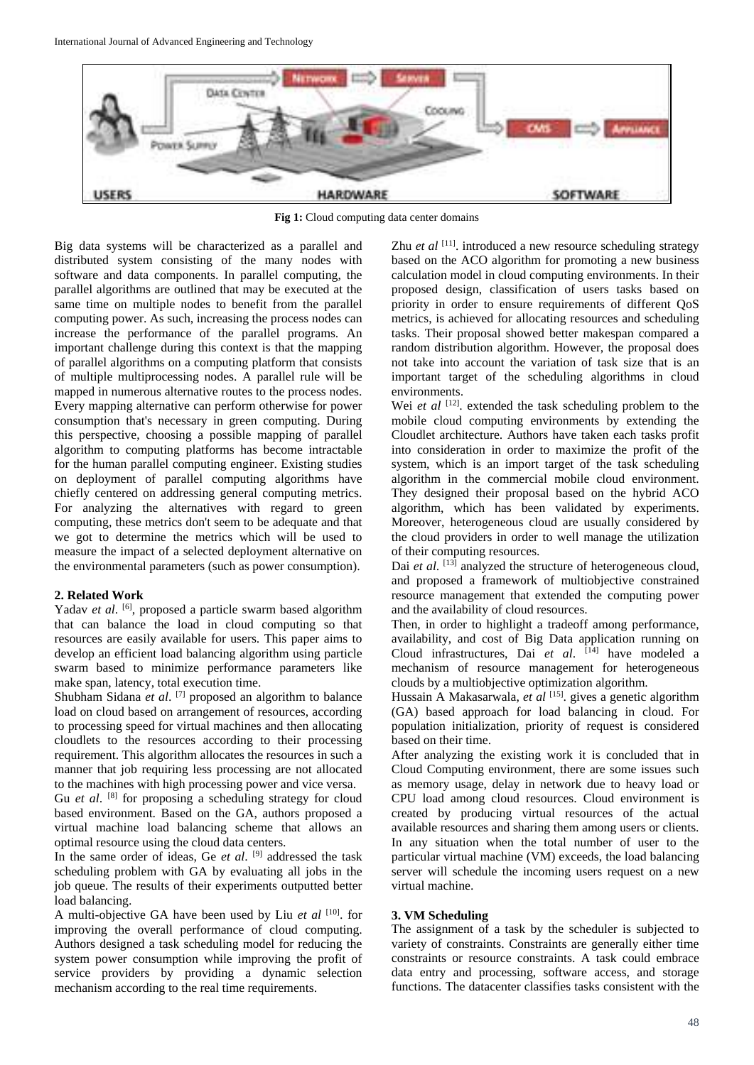

**Fig 1:** Cloud computing data center domains

Big data systems will be characterized as a parallel and distributed system consisting of the many nodes with software and data components. In parallel computing, the parallel algorithms are outlined that may be executed at the same time on multiple nodes to benefit from the parallel computing power. As such, increasing the process nodes can increase the performance of the parallel programs. An important challenge during this context is that the mapping of parallel algorithms on a computing platform that consists of multiple multiprocessing nodes. A parallel rule will be mapped in numerous alternative routes to the process nodes. Every mapping alternative can perform otherwise for power consumption that's necessary in green computing. During this perspective, choosing a possible mapping of parallel algorithm to computing platforms has become intractable for the human parallel computing engineer. Existing studies on deployment of parallel computing algorithms have chiefly centered on addressing general computing metrics. For analyzing the alternatives with regard to green computing, these metrics don't seem to be adequate and that we got to determine the metrics which will be used to measure the impact of a selected deployment alternative on the environmental parameters (such as power consumption).

## **2. Related Work**

Yadav et al. <sup>[6]</sup>, proposed a particle swarm based algorithm that can balance the load in cloud computing so that resources are easily available for users. This paper aims to develop an efficient load balancing algorithm using particle swarm based to minimize performance parameters like make span, latency, total execution time.

Shubham Sidana *et al.* <sup>[7]</sup> proposed an algorithm to balance load on cloud based on arrangement of resources, according to processing speed for virtual machines and then allocating cloudlets to the resources according to their processing requirement. This algorithm allocates the resources in such a manner that job requiring less processing are not allocated to the machines with high processing power and vice versa.

Gu *et al.* <sup>[8]</sup> for proposing a scheduling strategy for cloud based environment. Based on the GA, authors proposed a virtual machine load balancing scheme that allows an optimal resource using the cloud data centers.

In the same order of ideas, Ge *et al*. [9] addressed the task scheduling problem with GA by evaluating all jobs in the job queue. The results of their experiments outputted better load balancing.

A multi-objective GA have been used by Liu *et al* [10]. for improving the overall performance of cloud computing. Authors designed a task scheduling model for reducing the system power consumption while improving the profit of service providers by providing a dynamic selection mechanism according to the real time requirements.

Zhu *et al* <sup>[11]</sup>. introduced a new resource scheduling strategy based on the ACO algorithm for promoting a new business calculation model in cloud computing environments. In their proposed design, classification of users tasks based on priority in order to ensure requirements of different QoS metrics, is achieved for allocating resources and scheduling tasks. Their proposal showed better makespan compared a random distribution algorithm. However, the proposal does not take into account the variation of task size that is an important target of the scheduling algorithms in cloud environments.

Wei *et al* <sup>[12]</sup>. extended the task scheduling problem to the mobile cloud computing environments by extending the Cloudlet architecture. Authors have taken each tasks profit into consideration in order to maximize the profit of the system, which is an import target of the task scheduling algorithm in the commercial mobile cloud environment. They designed their proposal based on the hybrid ACO algorithm, which has been validated by experiments. Moreover, heterogeneous cloud are usually considered by the cloud providers in order to well manage the utilization of their computing resources.

Dai *et al.* <sup>[13]</sup> analyzed the structure of heterogeneous cloud, and proposed a framework of multiobjective constrained resource management that extended the computing power and the availability of cloud resources.

Then, in order to highlight a tradeoff among performance, availability, and cost of Big Data application running on Cloud infrastructures, Dai *et al*. [14] have modeled a mechanism of resource management for heterogeneous clouds by a multiobjective optimization algorithm.

Hussain A Makasarwala, *et al* <sup>[15]</sup>. gives a genetic algorithm (GA) based approach for load balancing in cloud. For population initialization, priority of request is considered based on their time.

After analyzing the existing work it is concluded that in Cloud Computing environment, there are some issues such as memory usage, delay in network due to heavy load or CPU load among cloud resources. Cloud environment is created by producing virtual resources of the actual available resources and sharing them among users or clients. In any situation when the total number of user to the particular virtual machine (VM) exceeds, the load balancing server will schedule the incoming users request on a new virtual machine.

## **3. VM Scheduling**

The assignment of a task by the scheduler is subjected to variety of constraints. Constraints are generally either time constraints or resource constraints. A task could embrace data entry and processing, software access, and storage functions. The datacenter classifies tasks consistent with the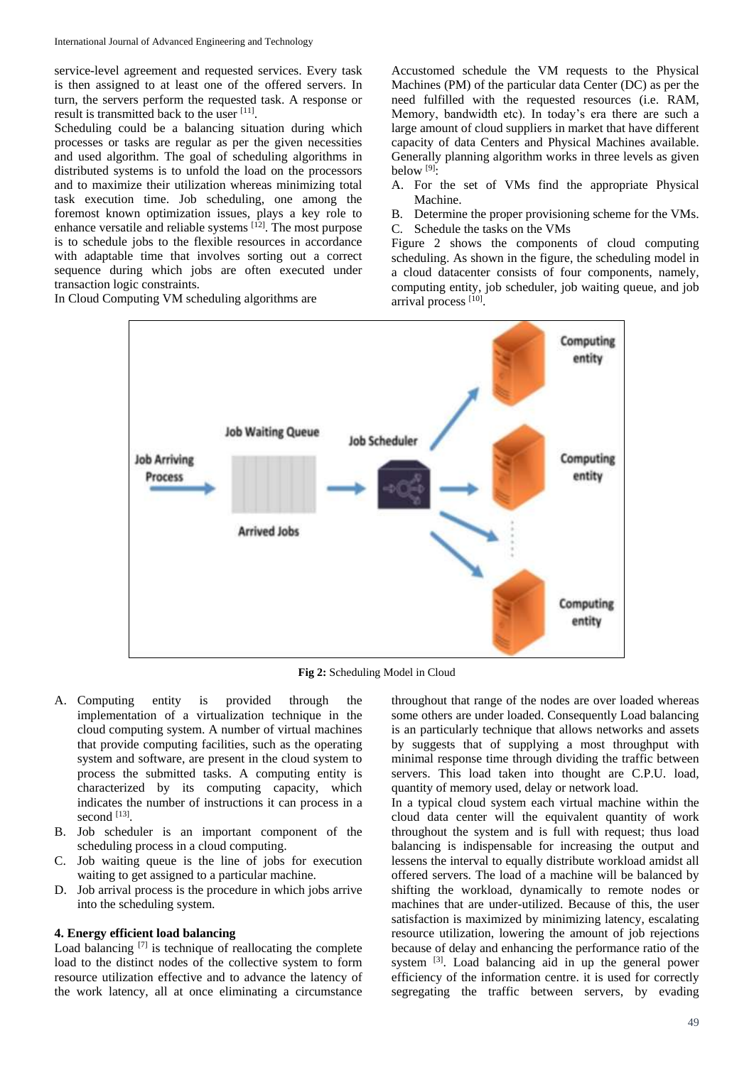service-level agreement and requested services. Every task is then assigned to at least one of the offered servers. In turn, the servers perform the requested task. A response or result is transmitted back to the user [11].

Scheduling could be a balancing situation during which processes or tasks are regular as per the given necessities and used algorithm. The goal of scheduling algorithms in distributed systems is to unfold the load on the processors and to maximize their utilization whereas minimizing total task execution time. Job scheduling, one among the foremost known optimization issues, plays a key role to enhance versatile and reliable systems [12]. The most purpose is to schedule jobs to the flexible resources in accordance with adaptable time that involves sorting out a correct sequence during which jobs are often executed under transaction logic constraints.

In Cloud Computing VM scheduling algorithms are

Accustomed schedule the VM requests to the Physical Machines (PM) of the particular data Center (DC) as per the need fulfilled with the requested resources (i.e. RAM, Memory, bandwidth etc). In today's era there are such a large amount of cloud suppliers in market that have different capacity of data Centers and Physical Machines available. Generally planning algorithm works in three levels as given below  $[9]$ :

A. For the set of VMs find the appropriate Physical Machine.

B. Determine the proper provisioning scheme for the VMs. C. Schedule the tasks on the VMs

Figure 2 shows the components of cloud computing scheduling. As shown in the figure, the scheduling model in a cloud datacenter consists of four components, namely, computing entity, job scheduler, job waiting queue, and job arrival process [10].



**Fig 2:** Scheduling Model in Cloud

- A. Computing entity is provided through the implementation of a virtualization technique in the cloud computing system. A number of virtual machines that provide computing facilities, such as the operating system and software, are present in the cloud system to process the submitted tasks. A computing entity is characterized by its computing capacity, which indicates the number of instructions it can process in a second [13].
- B. Job scheduler is an important component of the scheduling process in a cloud computing.
- C. Job waiting queue is the line of jobs for execution waiting to get assigned to a particular machine.
- D. Job arrival process is the procedure in which jobs arrive into the scheduling system.

### **4. Energy efficient load balancing**

Load balancing [7] is technique of reallocating the complete load to the distinct nodes of the collective system to form resource utilization effective and to advance the latency of the work latency, all at once eliminating a circumstance

throughout that range of the nodes are over loaded whereas some others are under loaded. Consequently Load balancing is an particularly technique that allows networks and assets by suggests that of supplying a most throughput with minimal response time through dividing the traffic between servers. This load taken into thought are C.P.U. load, quantity of memory used, delay or network load.

In a typical cloud system each virtual machine within the cloud data center will the equivalent quantity of work throughout the system and is full with request; thus load balancing is indispensable for increasing the output and lessens the interval to equally distribute workload amidst all offered servers. The load of a machine will be balanced by shifting the workload, dynamically to remote nodes or machines that are under-utilized. Because of this, the user satisfaction is maximized by minimizing latency, escalating resource utilization, lowering the amount of job rejections because of delay and enhancing the performance ratio of the system <sup>[3]</sup>. Load balancing aid in up the general power efficiency of the information centre. it is used for correctly segregating the traffic between servers, by evading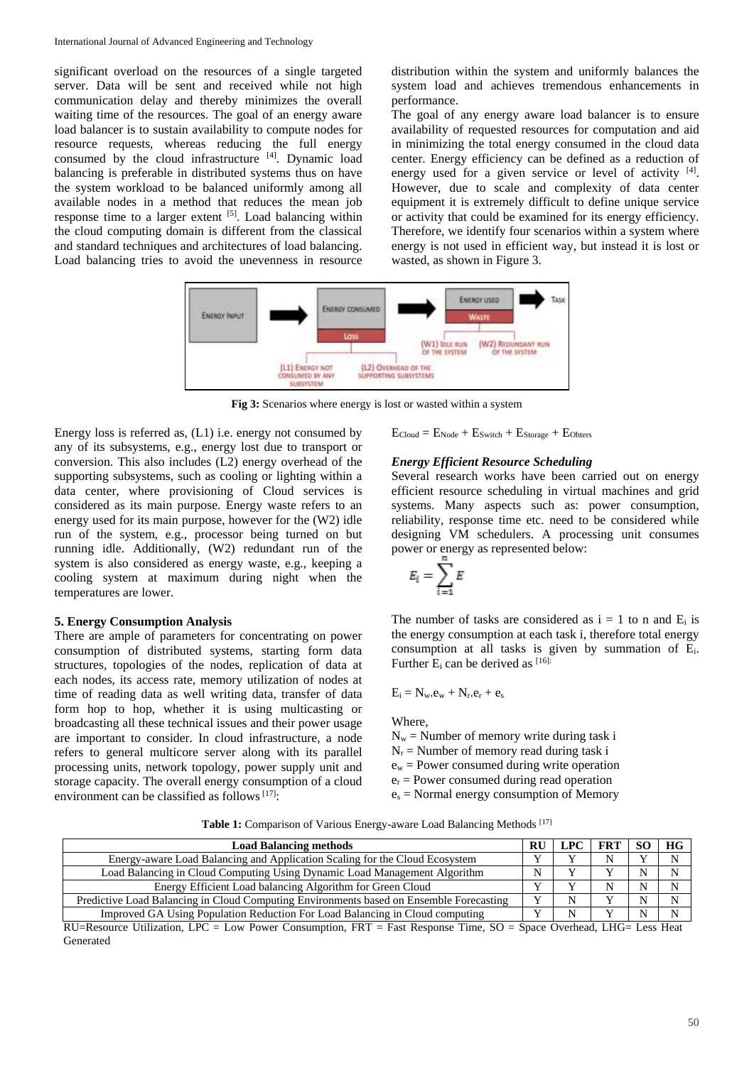significant overload on the resources of a single targeted server. Data will be sent and received while not high communication delay and thereby minimizes the overall waiting time of the resources. The goal of an energy aware load balancer is to sustain availability to compute nodes for resource requests, whereas reducing the full energy consumed by the cloud infrastructure [4]. Dynamic load balancing is preferable in distributed systems thus on have the system workload to be balanced uniformly among all available nodes in a method that reduces the mean job response time to a larger extent <sup>[5]</sup>. Load balancing within the cloud computing domain is different from the classical and standard techniques and architectures of load balancing. Load balancing tries to avoid the unevenness in resource

distribution within the system and uniformly balances the system load and achieves tremendous enhancements in performance.

The goal of any energy aware load balancer is to ensure availability of requested resources for computation and aid in minimizing the total energy consumed in the cloud data center. Energy efficiency can be defined as a reduction of energy used for a given service or level of activity  $[4]$ . However, due to scale and complexity of data center equipment it is extremely difficult to define unique service or activity that could be examined for its energy efficiency. Therefore, we identify four scenarios within a system where energy is not used in efficient way, but instead it is lost or wasted, as shown in Figure 3.



**Fig 3:** Scenarios where energy is lost or wasted within a system

Energy loss is referred as, (L1) i.e. energy not consumed by any of its subsystems, e.g., energy lost due to transport or conversion. This also includes (L2) energy overhead of the supporting subsystems, such as cooling or lighting within a data center, where provisioning of Cloud services is considered as its main purpose. Energy waste refers to an energy used for its main purpose, however for the (W2) idle run of the system, e.g., processor being turned on but running idle. Additionally, (W2) redundant run of the system is also considered as energy waste, e.g., keeping a cooling system at maximum during night when the temperatures are lower.

### **5. Energy Consumption Analysis**

There are ample of parameters for concentrating on power consumption of distributed systems, starting form data structures, topologies of the nodes, replication of data at each nodes, its access rate, memory utilization of nodes at time of reading data as well writing data, transfer of data form hop to hop, whether it is using multicasting or broadcasting all these technical issues and their power usage are important to consider. In cloud infrastructure, a node refers to general multicore server along with its parallel processing units, network topology, power supply unit and storage capacity. The overall energy consumption of a cloud environment can be classified as follows<sup> $[17]$ :</sup>

 $E_{Cloud} = E_{Node} + E_{Switch} + E_{Storage} + E_{Ohters}$ 

## *Energy Efficient Resource Scheduling*

Several research works have been carried out on energy efficient resource scheduling in virtual machines and grid systems. Many aspects such as: power consumption, reliability, response time etc. need to be considered while designing VM schedulers. A processing unit consumes power or energy as represented below:

$$
E_i = \sum_{i=1}^n E
$$

The number of tasks are considered as  $i = 1$  to n and  $E_i$  is the energy consumption at each task i, therefore total energy consumption at all tasks is given by summation of Ei. Further  $E_i$  can be derived as  $[16]$ :

$$
E_i=N_w.e_w+N_r.e_r+e_s\\
$$

Where,

- $N_w$  = Number of memory write during task i
- $N_r$  = Number of memory read during task i
- $e_w$  = Power consumed during write operation
- $e_r$  = Power consumed during read operation
- $e_s$  = Normal energy consumption of Memory

Table 1: Comparison of Various Energy-aware Load Balancing Methods [17]

| <b>Load Balancing methods</b>                                                                                                                                                            |  |   |  |  | <b>HG</b> |
|------------------------------------------------------------------------------------------------------------------------------------------------------------------------------------------|--|---|--|--|-----------|
| Energy-aware Load Balancing and Application Scaling for the Cloud Ecosystem                                                                                                              |  |   |  |  |           |
| Load Balancing in Cloud Computing Using Dynamic Load Management Algorithm                                                                                                                |  |   |  |  |           |
| Energy Efficient Load balancing Algorithm for Green Cloud                                                                                                                                |  |   |  |  |           |
| Predictive Load Balancing in Cloud Computing Environments based on Ensemble Forecasting                                                                                                  |  | N |  |  |           |
| Improved GA Using Population Reduction For Load Balancing in Cloud computing                                                                                                             |  | N |  |  |           |
| $DI = D_{\text{geource}}$ Utilization $IDC = I_{\text{OW}}$ Dower Consumption $EDT = E_{\text{tot}}$ Desponse Time, $SO = S_{\text{meas}}$ Overhead $I \text{ H}C = I_{\text{esc}}$ Heat |  |   |  |  |           |

RU=Resource Utilization, LPC = Low Power Consumption, FRT = Fast Response Time, SO = Space Overhead, LHG= Less Heat Generated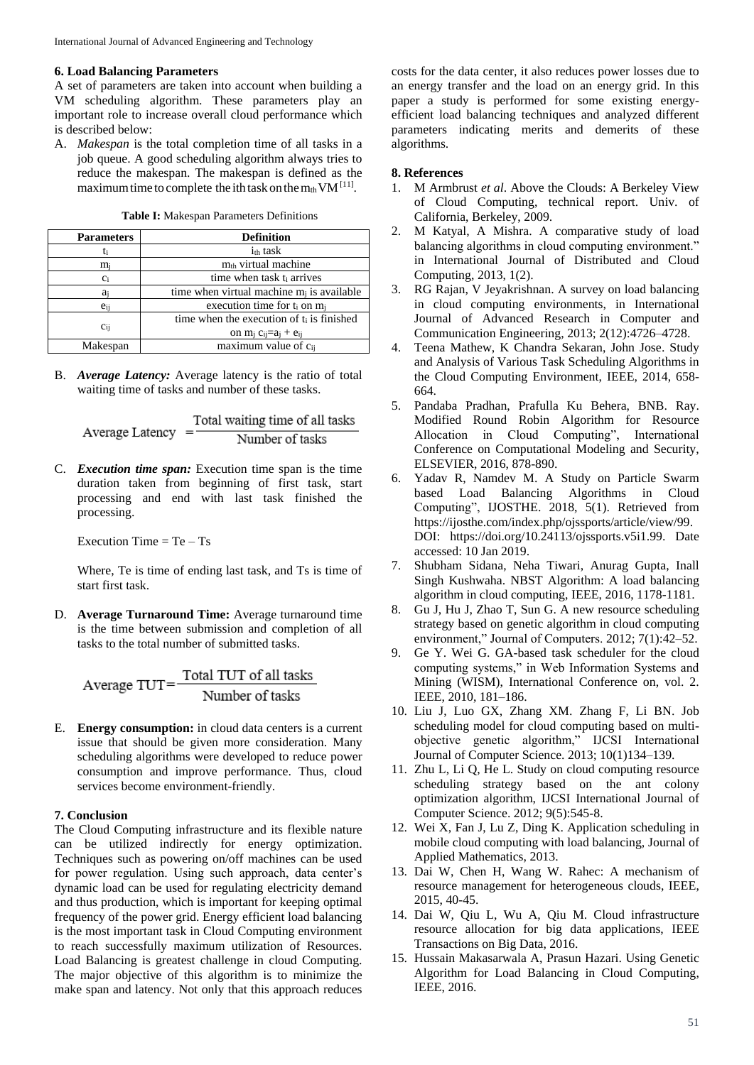#### **6. Load Balancing Parameters**

A set of parameters are taken into account when building a VM scheduling algorithm. These parameters play an important role to increase overall cloud performance which is described below:

A. *Makespan* is the total completion time of all tasks in a job queue. A good scheduling algorithm always tries to reduce the makespan. The makespan is defined as the maximum time to complete the ith task on the  $m_{th}VM$ <sup>[11]</sup>.

| <b>Parameters</b> | <b>Definition</b>                                   |  |
|-------------------|-----------------------------------------------------|--|
| ti                | $i_{\text{th}}$ task                                |  |
| $m_i$             | $mth$ virtual machine                               |  |
| $c_i$             | time when task t <sub>i</sub> arrives               |  |
| aj                | time when virtual machine $m_i$ is available        |  |
| $e_{i}$           | execution time for t <sub>i</sub> on m <sub>i</sub> |  |
|                   | time when the execution of $t_i$ is finished        |  |
| Ci <sub>i</sub>   | on $m_i$ $c_{ij} = a_j + e_{ij}$                    |  |
| Makespan          | maximum value of cij                                |  |

**Table I:** Makespan Parameters Definitions

B. *Average Latency:* Average latency is the ratio of total waiting time of tasks and number of these tasks.

Total waiting time of all tasks Average Latency  $=$ Number of tasks

C. *Execution time span:* Execution time span is the time duration taken from beginning of first task, start processing and end with last task finished the processing.

Execution Time  $=$  Te  $-$  Ts

Where, Te is time of ending last task, and Ts is time of start first task.

D. **Average Turnaround Time:** Average turnaround time is the time between submission and completion of all tasks to the total number of submitted tasks.

E. **Energy consumption:** in cloud data centers is a current issue that should be given more consideration. Many scheduling algorithms were developed to reduce power consumption and improve performance. Thus, cloud services become environment-friendly.

### **7. Conclusion**

The Cloud Computing infrastructure and its flexible nature can be utilized indirectly for energy optimization. Techniques such as powering on/off machines can be used for power regulation. Using such approach, data center's dynamic load can be used for regulating electricity demand and thus production, which is important for keeping optimal frequency of the power grid. Energy efficient load balancing is the most important task in Cloud Computing environment to reach successfully maximum utilization of Resources. Load Balancing is greatest challenge in cloud Computing. The major objective of this algorithm is to minimize the make span and latency. Not only that this approach reduces

costs for the data center, it also reduces power losses due to an energy transfer and the load on an energy grid. In this paper a study is performed for some existing energyefficient load balancing techniques and analyzed different parameters indicating merits and demerits of these algorithms.

#### **8. References**

- 1. M Armbrust *et al*. Above the Clouds: A Berkeley View of Cloud Computing, technical report. Univ. of California, Berkeley, 2009.
- 2. M Katyal, A Mishra. A comparative study of load balancing algorithms in cloud computing environment." in International Journal of Distributed and Cloud Computing, 2013, 1(2).
- 3. RG Rajan, V Jeyakrishnan. A survey on load balancing in cloud computing environments, in International Journal of Advanced Research in Computer and Communication Engineering, 2013; 2(12):4726–4728.
- 4. Teena Mathew, K Chandra Sekaran, John Jose. Study and Analysis of Various Task Scheduling Algorithms in the Cloud Computing Environment, IEEE, 2014, 658- 664.
- 5. Pandaba Pradhan, Prafulla Ku Behera, BNB. Ray. Modified Round Robin Algorithm for Resource Allocation in Cloud Computing", International Conference on Computational Modeling and Security, ELSEVIER, 2016, 878-890.
- 6. Yadav R, Namdev M. A Study on Particle Swarm based Load Balancing Algorithms in Cloud Computing", IJOSTHE. 2018, 5(1). Retrieved from https://ijosthe.com/index.php/ojssports/article/view/99. DOI: https://doi.org/10.24113/ojssports.v5i1.99. Date accessed: 10 Jan 2019.
- 7. Shubham Sidana, Neha Tiwari, Anurag Gupta, Inall Singh Kushwaha. NBST Algorithm: A load balancing algorithm in cloud computing, IEEE, 2016, 1178-1181.
- 8. Gu J, Hu J, Zhao T, Sun G. A new resource scheduling strategy based on genetic algorithm in cloud computing environment," Journal of Computers. 2012; 7(1):42–52.
- 9. Ge Y. Wei G. GA-based task scheduler for the cloud computing systems," in Web Information Systems and Mining (WISM), International Conference on, vol. 2. IEEE, 2010, 181–186.
- 10. Liu J, Luo GX, Zhang XM. Zhang F, Li BN. Job scheduling model for cloud computing based on multiobjective genetic algorithm," IJCSI International Journal of Computer Science. 2013; 10(1)134–139.
- 11. Zhu L, Li Q, He L. Study on cloud computing resource scheduling strategy based on the ant colony optimization algorithm, IJCSI International Journal of Computer Science. 2012; 9(5):545-8.
- 12. Wei X, Fan J, Lu Z, Ding K. Application scheduling in mobile cloud computing with load balancing, Journal of Applied Mathematics, 2013.
- 13. Dai W, Chen H, Wang W. Rahec: A mechanism of resource management for heterogeneous clouds, IEEE, 2015, 40-45.
- 14. Dai W, Qiu L, Wu A, Qiu M. Cloud infrastructure resource allocation for big data applications, IEEE Transactions on Big Data, 2016.
- 15. Hussain Makasarwala A, Prasun Hazari. Using Genetic Algorithm for Load Balancing in Cloud Computing, IEEE, 2016.